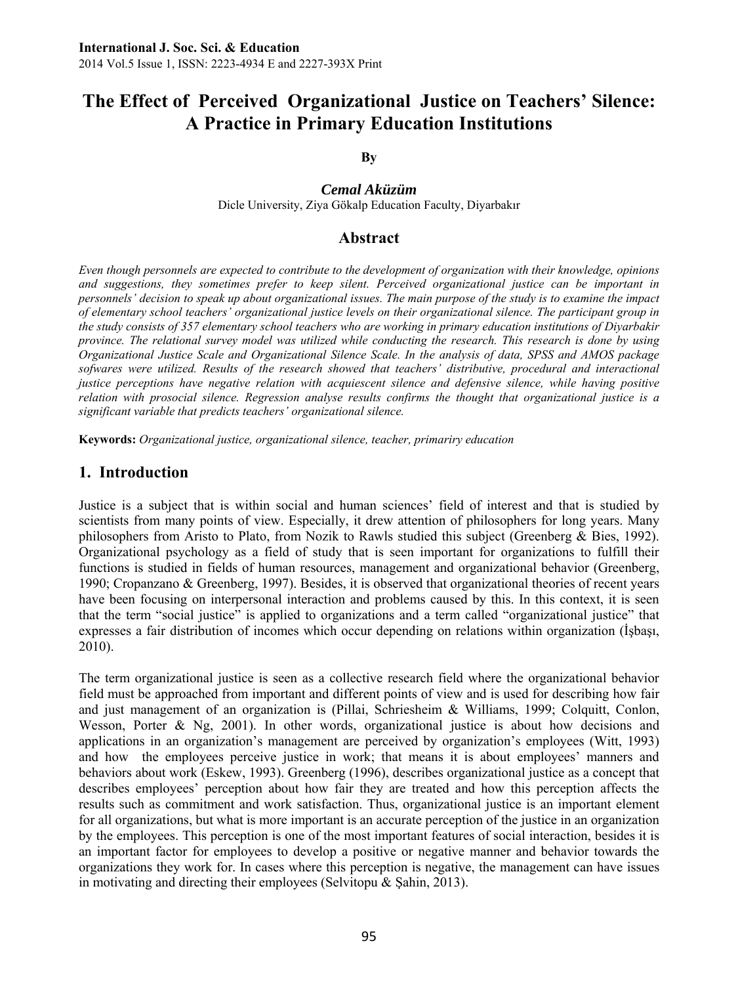# **The Effect of Perceived Organizational Justice on Teachers' Silence: A Practice in Primary Education Institutions**

**By** 

*Cemal Aküzüm*  Dicle University, Ziya Gökalp Education Faculty, Diyarbakır

## **Abstract**

*Even though personnels are expected to contribute to the development of organization with their knowledge, opinions and suggestions, they sometimes prefer to keep silent. Perceived organizational justice can be important in personnels' decision to speak up about organizational issues. The main purpose of the study is to examine the impact of elementary school teachers' organizational justice levels on their organizational silence. The participant group in the study consists of 357 elementary school teachers who are working in primary education institutions of Diyarbakir province. The relational survey model was utilized while conducting the research. This research is done by using Organizational Justice Scale and Organizational Silence Scale. In the analysis of data, SPSS and AMOS package*  sofwares were utilized. Results of the research showed that teachers' distributive, procedural and interactional *justice perceptions have negative relation with acquiescent silence and defensive silence, while having positive relation with prosocial silence. Regression analyse results confirms the thought that organizational justice is a significant variable that predicts teachers' organizational silence.* 

**Keywords:** *Organizational justice, organizational silence, teacher, primariry education* 

## **1. Introduction**

Justice is a subject that is within social and human sciences' field of interest and that is studied by scientists from many points of view. Especially, it drew attention of philosophers for long years. Many philosophers from Aristo to Plato, from Nozik to Rawls studied this subject (Greenberg  $\&$  Bies, 1992). Organizational psychology as a field of study that is seen important for organizations to fulfill their functions is studied in fields of human resources, management and organizational behavior (Greenberg, 1990; Cropanzano & Greenberg, 1997). Besides, it is observed that organizational theories of recent years have been focusing on interpersonal interaction and problems caused by this. In this context, it is seen that the term "social justice" is applied to organizations and a term called "organizational justice" that expresses a fair distribution of incomes which occur depending on relations within organization (İşbaşı, 2010).

The term organizational justice is seen as a collective research field where the organizational behavior field must be approached from important and different points of view and is used for describing how fair and just management of an organization is (Pillai, Schriesheim & Williams, 1999; Colquitt, Conlon, Wesson, Porter  $\&$  Ng, 2001). In other words, organizational justice is about how decisions and applications in an organization's management are perceived by organization's employees (Witt, 1993) and how the employees perceive justice in work; that means it is about employees' manners and behaviors about work (Eskew, 1993). Greenberg (1996), describes organizational justice as a concept that describes employees' perception about how fair they are treated and how this perception affects the results such as commitment and work satisfaction. Thus, organizational justice is an important element for all organizations, but what is more important is an accurate perception of the justice in an organization by the employees. This perception is one of the most important features of social interaction, besides it is an important factor for employees to develop a positive or negative manner and behavior towards the organizations they work for. In cases where this perception is negative, the management can have issues in motivating and directing their employees (Selvitopu & Şahin, 2013).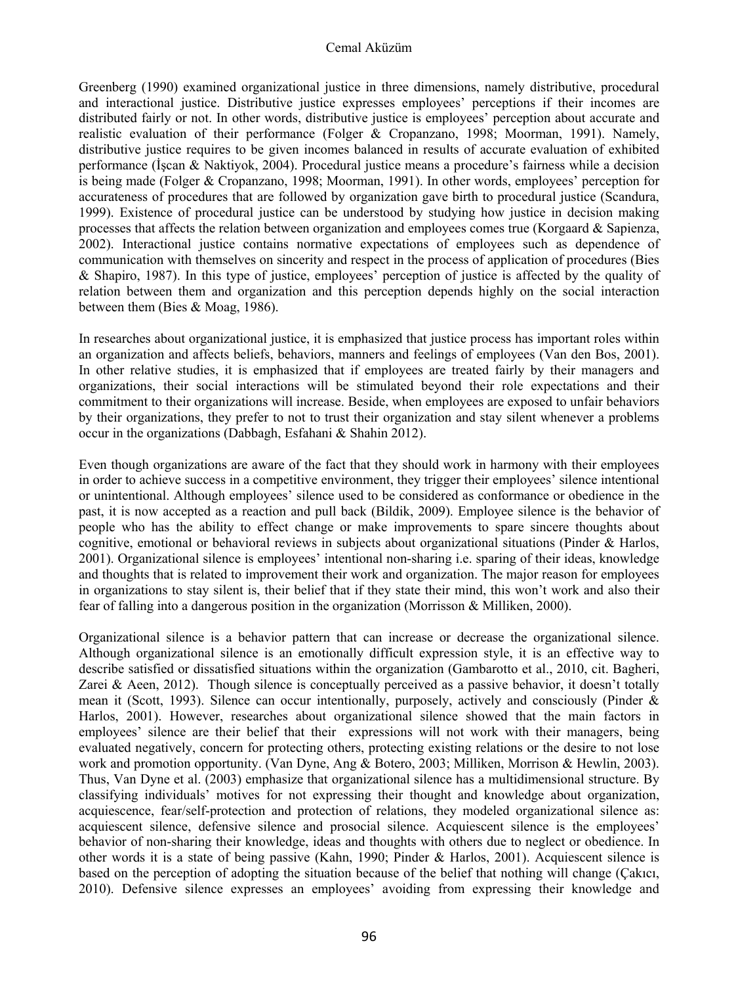#### Cemal Aküzüm

Greenberg (1990) examined organizational justice in three dimensions, namely distributive, procedural and interactional justice. Distributive justice expresses employees' perceptions if their incomes are distributed fairly or not. In other words, distributive justice is employees' perception about accurate and realistic evaluation of their performance (Folger & Cropanzano, 1998; Moorman, 1991). Namely, distributive justice requires to be given incomes balanced in results of accurate evaluation of exhibited performance (İşcan & Naktiyok, 2004). Procedural justice means a procedure's fairness while a decision is being made (Folger & Cropanzano, 1998; Moorman, 1991). In other words, employees' perception for accurateness of procedures that are followed by organization gave birth to procedural justice (Scandura, 1999). Existence of procedural justice can be understood by studying how justice in decision making processes that affects the relation between organization and employees comes true (Korgaard  $\&$  Sapienza, 2002). Interactional justice contains normative expectations of employees such as dependence of communication with themselves on sincerity and respect in the process of application of procedures (Bies & Shapiro, 1987). In this type of justice, employees' perception of justice is affected by the quality of relation between them and organization and this perception depends highly on the social interaction between them (Bies & Moag, 1986).

In researches about organizational justice, it is emphasized that justice process has important roles within an organization and affects beliefs, behaviors, manners and feelings of employees (Van den Bos, 2001). In other relative studies, it is emphasized that if employees are treated fairly by their managers and organizations, their social interactions will be stimulated beyond their role expectations and their commitment to their organizations will increase. Beside, when employees are exposed to unfair behaviors by their organizations, they prefer to not to trust their organization and stay silent whenever a problems occur in the organizations (Dabbagh, Esfahani & Shahin 2012).

Even though organizations are aware of the fact that they should work in harmony with their employees in order to achieve success in a competitive environment, they trigger their employees' silence intentional or unintentional. Although employees' silence used to be considered as conformance or obedience in the past, it is now accepted as a reaction and pull back (Bildik, 2009). Employee silence is the behavior of people who has the ability to effect change or make improvements to spare sincere thoughts about cognitive, emotional or behavioral reviews in subjects about organizational situations (Pinder & Harlos, 2001). Organizational silence is employees' intentional non-sharing i.e. sparing of their ideas, knowledge and thoughts that is related to improvement their work and organization. The major reason for employees in organizations to stay silent is, their belief that if they state their mind, this won't work and also their fear of falling into a dangerous position in the organization (Morrisson & Milliken, 2000).

Organizational silence is a behavior pattern that can increase or decrease the organizational silence. Although organizational silence is an emotionally difficult expression style, it is an effective way to describe satisfied or dissatisfied situations within the organization (Gambarotto et al., 2010, cit. Bagheri, Zarei & Aeen, 2012). Though silence is conceptually perceived as a passive behavior, it doesn't totally mean it (Scott, 1993). Silence can occur intentionally, purposely, actively and consciously (Pinder & Harlos, 2001). However, researches about organizational silence showed that the main factors in employees' silence are their belief that their expressions will not work with their managers, being evaluated negatively, concern for protecting others, protecting existing relations or the desire to not lose work and promotion opportunity. (Van Dyne, Ang & Botero, 2003; Milliken, Morrison & Hewlin, 2003). Thus, Van Dyne et al. (2003) emphasize that organizational silence has a multidimensional structure. By classifying individuals' motives for not expressing their thought and knowledge about organization, acquiescence, fear/self-protection and protection of relations, they modeled organizational silence as: acquiescent silence, defensive silence and prosocial silence. Acquiescent silence is the employees' behavior of non-sharing their knowledge, ideas and thoughts with others due to neglect or obedience. In other words it is a state of being passive (Kahn, 1990; Pinder & Harlos, 2001). Acquiescent silence is based on the perception of adopting the situation because of the belief that nothing will change (Çakıcı, 2010). Defensive silence expresses an employees' avoiding from expressing their knowledge and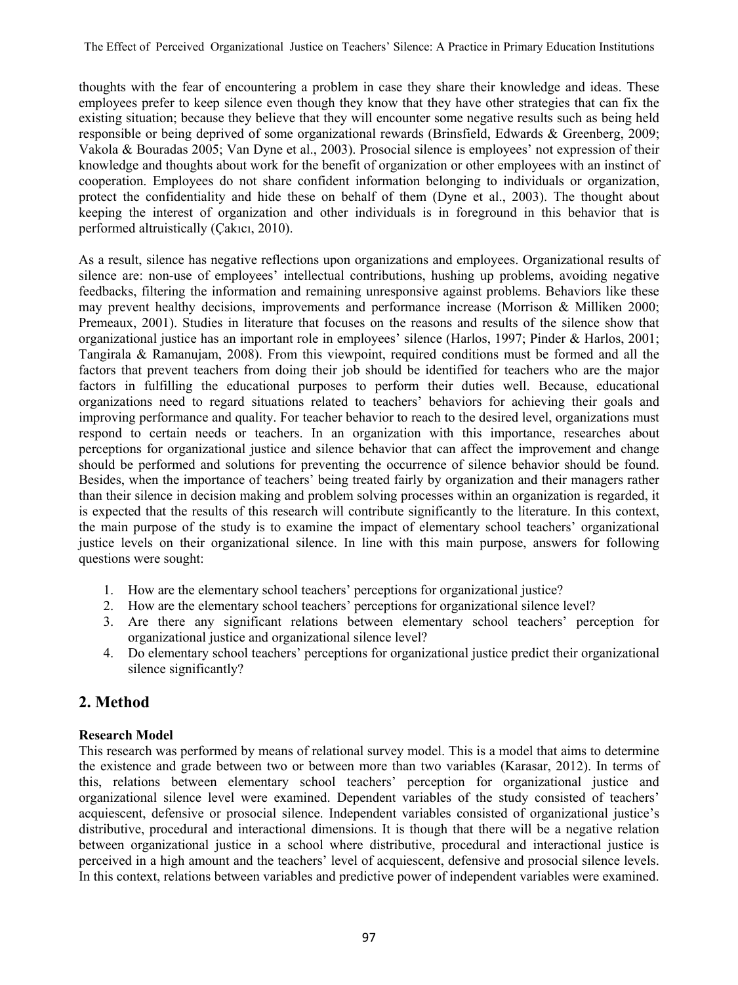thoughts with the fear of encountering a problem in case they share their knowledge and ideas. These employees prefer to keep silence even though they know that they have other strategies that can fix the existing situation; because they believe that they will encounter some negative results such as being held responsible or being deprived of some organizational rewards (Brinsfield, Edwards & Greenberg, 2009; Vakola & Bouradas 2005; Van Dyne et al., 2003). Prosocial silence is employees' not expression of their knowledge and thoughts about work for the benefit of organization or other employees with an instinct of cooperation. Employees do not share confident information belonging to individuals or organization, protect the confidentiality and hide these on behalf of them (Dyne et al., 2003). The thought about keeping the interest of organization and other individuals is in foreground in this behavior that is performed altruistically (Çakıcı, 2010).

As a result, silence has negative reflections upon organizations and employees. Organizational results of silence are: non-use of employees' intellectual contributions, hushing up problems, avoiding negative feedbacks, filtering the information and remaining unresponsive against problems. Behaviors like these may prevent healthy decisions, improvements and performance increase (Morrison & Milliken 2000; Premeaux, 2001). Studies in literature that focuses on the reasons and results of the silence show that organizational justice has an important role in employees' silence (Harlos, 1997; Pinder & Harlos, 2001; Tangirala & Ramanujam, 2008). From this viewpoint, required conditions must be formed and all the factors that prevent teachers from doing their job should be identified for teachers who are the major factors in fulfilling the educational purposes to perform their duties well. Because, educational organizations need to regard situations related to teachers' behaviors for achieving their goals and improving performance and quality. For teacher behavior to reach to the desired level, organizations must respond to certain needs or teachers. In an organization with this importance, researches about perceptions for organizational justice and silence behavior that can affect the improvement and change should be performed and solutions for preventing the occurrence of silence behavior should be found. Besides, when the importance of teachers' being treated fairly by organization and their managers rather than their silence in decision making and problem solving processes within an organization is regarded, it is expected that the results of this research will contribute significantly to the literature. In this context, the main purpose of the study is to examine the impact of elementary school teachers' organizational justice levels on their organizational silence. In line with this main purpose, answers for following questions were sought:

- 1. How are the elementary school teachers' perceptions for organizational justice?
- 2. How are the elementary school teachers' perceptions for organizational silence level?
- 3. Are there any significant relations between elementary school teachers' perception for organizational justice and organizational silence level?
- 4. Do elementary school teachers' perceptions for organizational justice predict their organizational silence significantly?

## **2. Method**

## **Research Model**

This research was performed by means of relational survey model. This is a model that aims to determine the existence and grade between two or between more than two variables (Karasar, 2012). In terms of this, relations between elementary school teachers' perception for organizational justice and organizational silence level were examined. Dependent variables of the study consisted of teachers' acquiescent, defensive or prosocial silence. Independent variables consisted of organizational justice's distributive, procedural and interactional dimensions. It is though that there will be a negative relation between organizational justice in a school where distributive, procedural and interactional justice is perceived in a high amount and the teachers' level of acquiescent, defensive and prosocial silence levels. In this context, relations between variables and predictive power of independent variables were examined.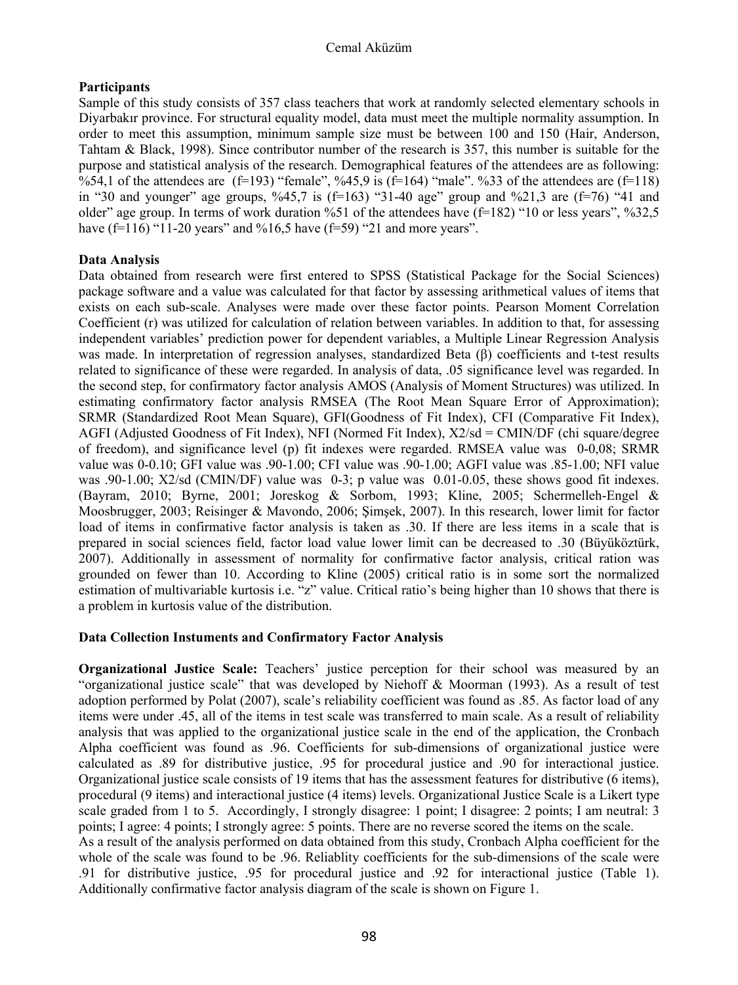#### Cemal Aküzüm

### **Participants**

Sample of this study consists of 357 class teachers that work at randomly selected elementary schools in Diyarbakır province. For structural equality model, data must meet the multiple normality assumption. In order to meet this assumption, minimum sample size must be between 100 and 150 (Hair, Anderson, Tahtam & Black, 1998). Since contributor number of the research is 357, this number is suitable for the purpose and statistical analysis of the research. Demographical features of the attendees are as following: %54,1 of the attendees are  $(f=193)$  "female", %45,9 is  $(f=164)$  "male". %33 of the attendees are  $(f=118)$ in "30 and younger" age groups,  $\frac{6}{45}$ , is (f=163) "31-40 age" group and  $\frac{6}{21}$ , 3 are (f=76) "41 and older" age group. In terms of work duration %51 of the attendees have  $(f=182)$  "10 or less years", %32,5 have  $(f=116)$  "11-20 years" and %16,5 have  $(f=59)$  "21 and more years".

## **Data Analysis**

Data obtained from research were first entered to SPSS (Statistical Package for the Social Sciences) package software and a value was calculated for that factor by assessing arithmetical values of items that exists on each sub-scale. Analyses were made over these factor points. Pearson Moment Correlation Coefficient (r) was utilized for calculation of relation between variables. In addition to that, for assessing independent variables' prediction power for dependent variables, a Multiple Linear Regression Analysis was made. In interpretation of regression analyses, standardized Beta (β) coefficients and t-test results related to significance of these were regarded. In analysis of data, .05 significance level was regarded. In the second step, for confirmatory factor analysis AMOS (Analysis of Moment Structures) was utilized. In estimating confirmatory factor analysis RMSEA (The Root Mean Square Error of Approximation); SRMR (Standardized Root Mean Square), GFI(Goodness of Fit Index), CFI (Comparative Fit Index), AGFI (Adjusted Goodness of Fit Index), NFI (Normed Fit Index), X2/sd = CMIN/DF (chi square/degree of freedom), and significance level (p) fit indexes were regarded. RMSEA value was 0-0,08; SRMR value was 0-0.10; GFI value was .90-1.00; CFI value was .90-1.00; AGFI value was .85-1.00; NFI value was .90-1.00; X2/sd (CMIN/DF) value was 0-3; p value was 0.01-0.05, these shows good fit indexes. (Bayram, 2010; Byrne, 2001; Joreskog & Sorbom, 1993; Kline, 2005; Schermelleh-Engel & Moosbrugger, 2003; Reisinger & Mavondo, 2006; Şimşek, 2007). In this research, lower limit for factor load of items in confirmative factor analysis is taken as .30. If there are less items in a scale that is prepared in social sciences field, factor load value lower limit can be decreased to .30 (Büyüköztürk, 2007). Additionally in assessment of normality for confirmative factor analysis, critical ration was grounded on fewer than 10. According to Kline (2005) critical ratio is in some sort the normalized estimation of multivariable kurtosis i.e. "z" value. Critical ratio's being higher than 10 shows that there is a problem in kurtosis value of the distribution.

## **Data Collection Instuments and Confirmatory Factor Analysis**

**Organizational Justice Scale:** Teachers' justice perception for their school was measured by an "organizational justice scale" that was developed by Niehoff & Moorman (1993). As a result of test adoption performed by Polat (2007), scale's reliability coefficient was found as .85. As factor load of any items were under .45, all of the items in test scale was transferred to main scale. As a result of reliability analysis that was applied to the organizational justice scale in the end of the application, the Cronbach Alpha coefficient was found as .96. Coefficients for sub-dimensions of organizational justice were calculated as .89 for distributive justice, .95 for procedural justice and .90 for interactional justice. Organizational justice scale consists of 19 items that has the assessment features for distributive (6 items), procedural (9 items) and interactional justice (4 items) levels. Organizational Justice Scale is a Likert type scale graded from 1 to 5. Accordingly, I strongly disagree: 1 point; I disagree: 2 points; I am neutral: 3 points; I agree: 4 points; I strongly agree: 5 points. There are no reverse scored the items on the scale. As a result of the analysis performed on data obtained from this study, Cronbach Alpha coefficient for the whole of the scale was found to be .96. Reliablity coefficients for the sub-dimensions of the scale were .91 for distributive justice, .95 for procedural justice and .92 for interactional justice (Table 1).

Additionally confirmative factor analysis diagram of the scale is shown on Figure 1.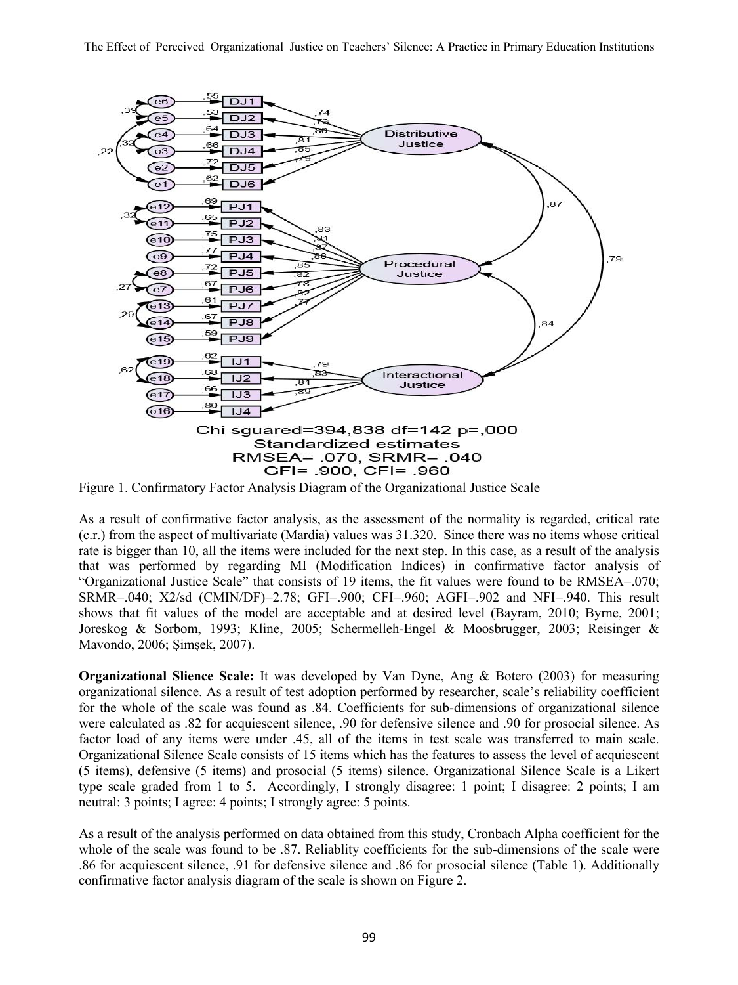

Figure 1. Confirmatory Factor Analysis Diagram of the Organizational Justice Scale

As a result of confirmative factor analysis, as the assessment of the normality is regarded, critical rate (c.r.) from the aspect of multivariate (Mardia) values was 31.320. Since there was no items whose critical rate is bigger than 10, all the items were included for the next step. In this case, as a result of the analysis that was performed by regarding MI (Modification Indices) in confirmative factor analysis of "Organizational Justice Scale" that consists of 19 items, the fit values were found to be RMSEA=.070;  $SRMR = 040$ ;  $X2/sd$  (CMIN/DF)=2.78; GFI=.900; CFI=.960; AGFI=.902 and NFI=.940. This result shows that fit values of the model are acceptable and at desired level (Bayram, 2010; Byrne, 2001; Joreskog & Sorbom, 1993; Kline, 2005; Schermelleh-Engel & Moosbrugger, 2003; Reisinger & Mavondo, 2006; Şimşek, 2007).

**Organizational Slience Scale:** It was developed by Van Dyne, Ang & Botero (2003) for measuring organizational silence. As a result of test adoption performed by researcher, scale's reliability coefficient for the whole of the scale was found as .84. Coefficients for sub-dimensions of organizational silence were calculated as .82 for acquiescent silence, .90 for defensive silence and .90 for prosocial silence. As factor load of any items were under .45, all of the items in test scale was transferred to main scale. Organizational Silence Scale consists of 15 items which has the features to assess the level of acquiescent (5 items), defensive (5 items) and prosocial (5 items) silence. Organizational Silence Scale is a Likert type scale graded from 1 to 5. Accordingly, I strongly disagree: 1 point; I disagree: 2 points; I am neutral: 3 points; I agree: 4 points; I strongly agree: 5 points.

As a result of the analysis performed on data obtained from this study, Cronbach Alpha coefficient for the whole of the scale was found to be .87. Reliablity coefficients for the sub-dimensions of the scale were .86 for acquiescent silence, .91 for defensive silence and .86 for prosocial silence (Table 1). Additionally confirmative factor analysis diagram of the scale is shown on Figure 2.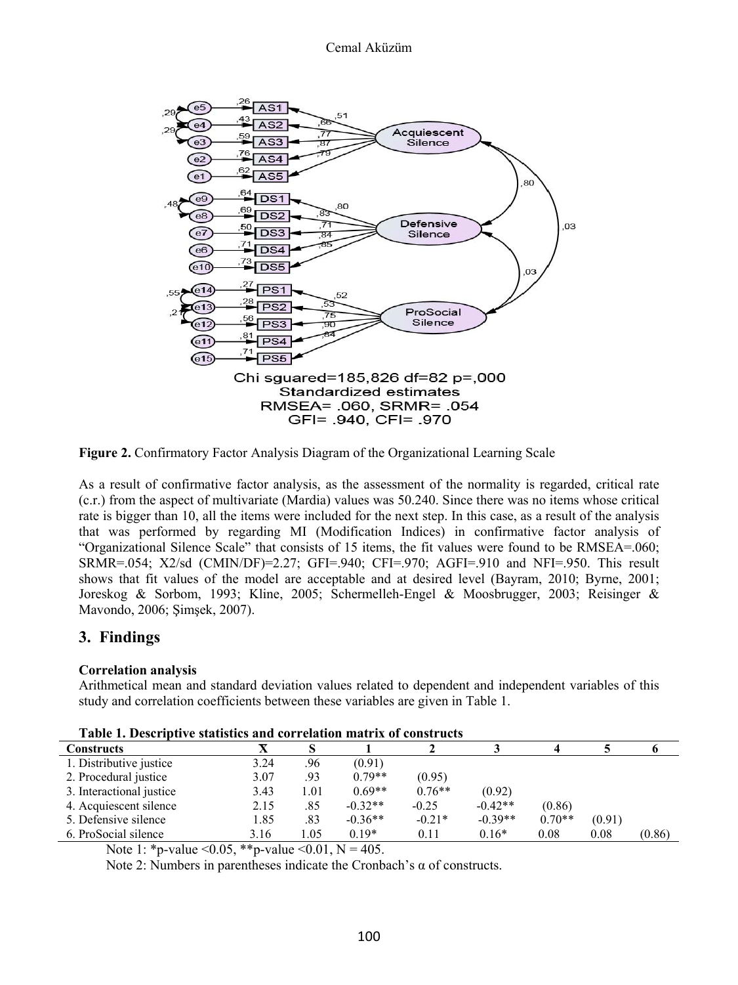

**Figure 2.** Confirmatory Factor Analysis Diagram of the Organizational Learning Scale

As a result of confirmative factor analysis, as the assessment of the normality is regarded, critical rate (c.r.) from the aspect of multivariate (Mardia) values was 50.240. Since there was no items whose critical rate is bigger than 10, all the items were included for the next step. In this case, as a result of the analysis that was performed by regarding MI (Modification Indices) in confirmative factor analysis of "Organizational Silence Scale" that consists of 15 items, the fit values were found to be RMSEA=.060; SRMR=.054; X2/sd (CMIN/DF)=2.27; GFI=.940; CFI=.970; AGFI=.910 and NFI=.950. This result shows that fit values of the model are acceptable and at desired level (Bayram, 2010; Byrne, 2001; Joreskog & Sorbom, 1993; Kline, 2005; Schermelleh-Engel & Moosbrugger, 2003; Reisinger & Mavondo, 2006; Şimşek, 2007).

## **3. Findings**

## **Correlation analysis**

Arithmetical mean and standard deviation values related to dependent and independent variables of this study and correlation coefficients between these variables are given in Table 1.

| I abit 1. Descriptive statistics and correlation matrix of constructs |      |      |           |          |           |          |        |        |
|-----------------------------------------------------------------------|------|------|-----------|----------|-----------|----------|--------|--------|
| Constructs                                                            |      |      |           |          |           |          |        |        |
| 1. Distributive justice                                               | 3.24 | .96  | (0.91)    |          |           |          |        |        |
| 2. Procedural justice                                                 | 3.07 | .93  | $0.79**$  | (0.95)   |           |          |        |        |
| 3. Interactional justice                                              | 3.43 | 1.01 | $0.69**$  | $0.76**$ | (0.92)    |          |        |        |
| 4. Acquiescent silence                                                | 2.15 | .85  | $-0.32**$ | $-0.25$  | $-0.42**$ | (0.86)   |        |        |
| 5. Defensive silence                                                  | 1.85 | .83  | $-0.36**$ | $-0.21*$ | $-0.39**$ | $0.70**$ | (0.91) |        |
| 6. ProSocial silence                                                  | 3.16 | l.05 | $0.19*$   | 0.11     | $0.16*$   | 0.08     | 0.08   | (0.86) |

Note 1: \*p-value < 0.05, \*\*p-value < 0.01, N = 405.

Note 2: Numbers in parentheses indicate the Cronbach's α of constructs.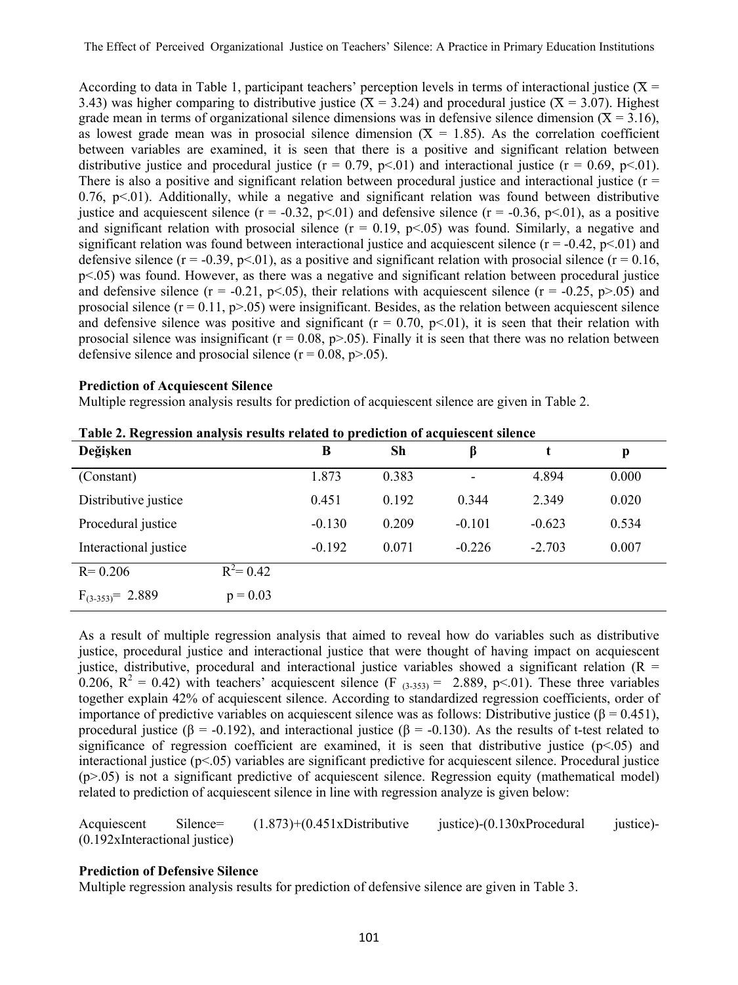According to data in Table 1, participant teachers' perception levels in terms of interactional justice ( $X =$ 3.43) was higher comparing to distributive justice ( $\bar{X} = 3.24$ ) and procedural justice ( $\bar{X} = 3.07$ ). Highest grade mean in terms of organizational silence dimensions was in defensive silence dimension  $(X = 3.16)$ , as lowest grade mean was in prosocial silence dimension  $(X = 1.85)$ . As the correlation coefficient between variables are examined, it is seen that there is a positive and significant relation between distributive justice and procedural justice ( $r = 0.79$ ,  $p < 01$ ) and interactional justice ( $r = 0.69$ ,  $p < 01$ ). There is also a positive and significant relation between procedural justice and interactional justice ( $r =$  $0.76$ ,  $p<01$ ). Additionally, while a negative and significant relation was found between distributive justice and acquiescent silence  $(r = -0.32, p < 0.01)$  and defensive silence  $(r = -0.36, p < 0.01)$ , as a positive and significant relation with prosocial silence  $(r = 0.19, p < 0.05)$  was found. Similarly, a negative and significant relation was found between interactional justice and acquiescent silence  $(r = -0.42, p < 0.01)$  and defensive silence (r = -0.39, p < 01), as a positive and significant relation with prosocial silence (r = 0.16, p<.05) was found. However, as there was a negative and significant relation between procedural justice and defensive silence ( $r = -0.21$ ,  $p < 0.05$ ), their relations with acquiescent silence ( $r = -0.25$ ,  $p > 0.05$ ) and prosocial silence  $(r = 0.11, p > 0.05)$  were insignificant. Besides, as the relation between acquiescent silence and defensive silence was positive and significant ( $r = 0.70$ ,  $p < 0.01$ ), it is seen that their relation with prosocial silence was insignificant ( $r = 0.08$ ,  $p > 0.05$ ). Finally it is seen that there was no relation between defensive silence and prosocial silence  $(r = 0.08, p > 0.05)$ .

#### **Prediction of Acquiescent Silence**

Multiple regression analysis results for prediction of acquiescent silence are given in Table 2.

| $\cdot$<br>Değişken   |              | B        | <b>Sh</b> | β               |          | p     |
|-----------------------|--------------|----------|-----------|-----------------|----------|-------|
| (Constant)            |              | 1.873    | 0.383     | $\qquad \qquad$ | 4.894    | 0.000 |
| Distributive justice  |              | 0.451    | 0.192     | 0.344           | 2.349    | 0.020 |
| Procedural justice    |              | $-0.130$ | 0.209     | $-0.101$        | $-0.623$ | 0.534 |
| Interactional justice |              | $-0.192$ | 0.071     | $-0.226$        | $-2.703$ | 0.007 |
| $R = 0.206$           | $R^2 = 0.42$ |          |           |                 |          |       |
| $F_{(3-353)} = 2.889$ | $p = 0.03$   |          |           |                 |          |       |

**Table 2. Regression analysis results related to prediction of acquiescent silence** 

As a result of multiple regression analysis that aimed to reveal how do variables such as distributive justice, procedural justice and interactional justice that were thought of having impact on acquiescent justice, distributive, procedural and interactional justice variables showed a significant relation  $(R =$ 0.206,  $R^2 = 0.42$ ) with teachers' acquiescent silence (F  $_{(3-353)} = 2.889$ , p<.01). These three variables together explain 42% of acquiescent silence. According to standardized regression coefficients, order of importance of predictive variables on acquiescent silence was as follows: Distributive justice ( $\beta = 0.451$ ), procedural justice (β = -0.192), and interactional justice (β = -0.130). As the results of t-test related to significance of regression coefficient are examined, it is seen that distributive justice  $(p<0.05)$  and interactional justice  $(p<0.05)$  variables are significant predictive for acquiescent silence. Procedural justice (p>.05) is not a significant predictive of acquiescent silence. Regression equity (mathematical model) related to prediction of acquiescent silence in line with regression analyze is given below:

Acquiescent Silence= (1.873)+(0.451xDistributive justice)-(0.130xProcedural justice)- (0.192xInteractional justice)

#### **Prediction of Defensive Silence**

Multiple regression analysis results for prediction of defensive silence are given in Table 3.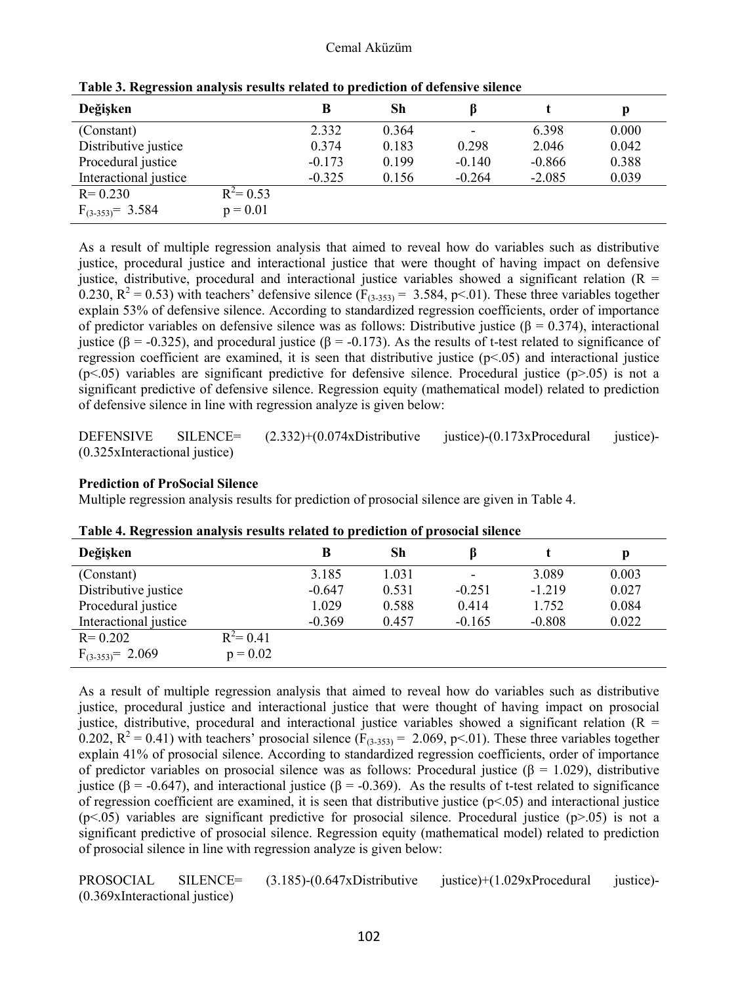| Değişken              |              | B        | Sh    | ß        |          | p     |
|-----------------------|--------------|----------|-------|----------|----------|-------|
| (Constant)            |              | 2.332    | 0.364 | -        | 6.398    | 0.000 |
| Distributive justice  |              | 0.374    | 0.183 | 0.298    | 2.046    | 0.042 |
| Procedural justice    |              | $-0.173$ | 0.199 | $-0.140$ | $-0.866$ | 0.388 |
| Interactional justice |              | $-0.325$ | 0.156 | $-0.264$ | $-2.085$ | 0.039 |
| $R = 0.230$           | $R^2 = 0.53$ |          |       |          |          |       |
| $F_{(3-353)} = 3.584$ | $p = 0.01$   |          |       |          |          |       |

**Table 3. Regression analysis results related to prediction of defensive silence** 

As a result of multiple regression analysis that aimed to reveal how do variables such as distributive justice, procedural justice and interactional justice that were thought of having impact on defensive justice, distributive, procedural and interactional justice variables showed a significant relation ( $R =$ 0.230,  $R^2 = 0.53$ ) with teachers' defensive silence ( $F_{(3-353)} = 3.584$ , p<.01). These three variables together explain 53% of defensive silence. According to standardized regression coefficients, order of importance of predictor variables on defensive silence was as follows: Distributive justice (β = 0.374), interactional justice (β = -0.325), and procedural justice (β = -0.173). As the results of t-test related to significance of regression coefficient are examined, it is seen that distributive justice  $(p<0.05)$  and interactional justice  $(p<0.05)$  variables are significant predictive for defensive silence. Procedural justice  $(p>0.05)$  is not a significant predictive of defensive silence. Regression equity (mathematical model) related to prediction of defensive silence in line with regression analyze is given below:

DEFENSIVE SILENCE= (2.332)+(0.074xDistributive justice)-(0.173xProcedural justice)- (0.325xInteractional justice)

#### **Prediction of ProSocial Silence**

Multiple regression analysis results for prediction of prosocial silence are given in Table 4.

| Değişken              |              | B        | Sh    | ß        |          | р     |
|-----------------------|--------------|----------|-------|----------|----------|-------|
| (Constant)            |              | 3.185    | 1.031 |          | 3.089    | 0.003 |
| Distributive justice  |              | $-0.647$ | 0.531 | $-0.251$ | $-1.219$ | 0.027 |
| Procedural justice    |              | 1.029    | 0.588 | 0.414    | 1.752    | 0.084 |
| Interactional justice |              | $-0.369$ | 0.457 | $-0.165$ | $-0.808$ | 0.022 |
| $R = 0.202$           | $R^2 = 0.41$ |          |       |          |          |       |
| $F_{(3-353)} = 2.069$ | $p = 0.02$   |          |       |          |          |       |

**Table 4. Regression analysis results related to prediction of prosocial silence** 

As a result of multiple regression analysis that aimed to reveal how do variables such as distributive justice, procedural justice and interactional justice that were thought of having impact on prosocial justice, distributive, procedural and interactional justice variables showed a significant relation  $(R =$ 0.202,  $R^2 = 0.41$ ) with teachers' prosocial silence ( $F_{(3-353)} = 2.069$ , p<.01). These three variables together explain 41% of prosocial silence. According to standardized regression coefficients, order of importance of predictor variables on prosocial silence was as follows: Procedural justice (β = 1.029), distributive justice (β = -0.647), and interactional justice (β = -0.369). As the results of t-test related to significance of regression coefficient are examined, it is seen that distributive justice  $(p<0.05)$  and interactional justice  $(p<0.05)$  variables are significant predictive for prosocial silence. Procedural justice  $(p>0.05)$  is not a significant predictive of prosocial silence. Regression equity (mathematical model) related to prediction of prosocial silence in line with regression analyze is given below:

PROSOCIAL SILENCE= (3.185)-(0.647xDistributive justice)+(1.029xProcedural justice)- (0.369xInteractional justice)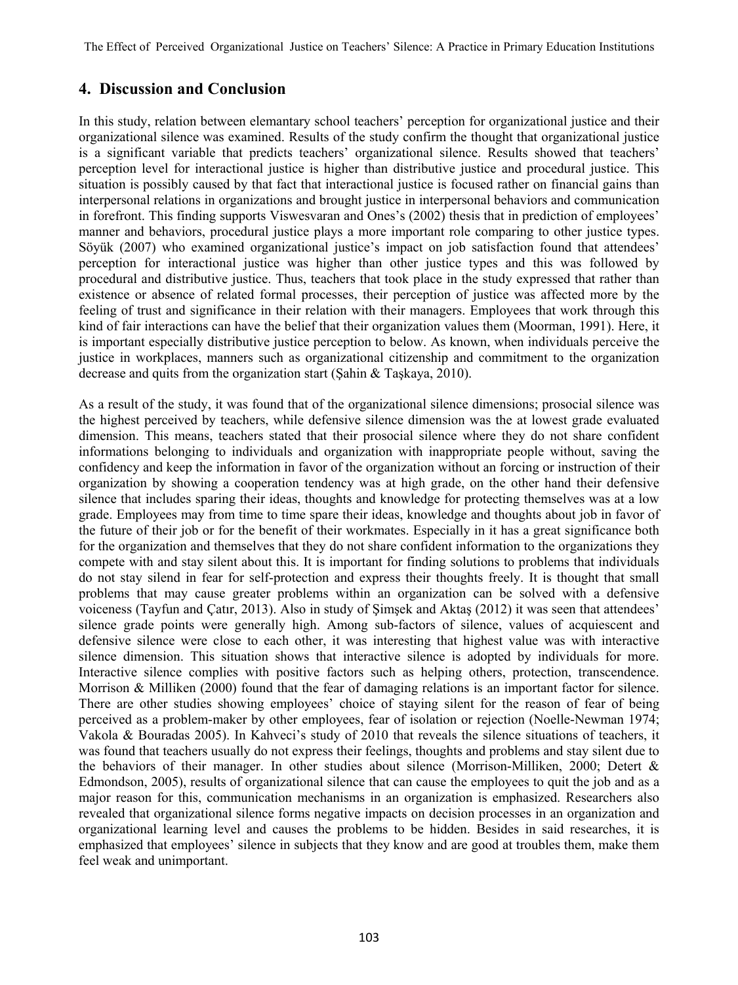The Effect of Perceived Organizational Justice on Teachers' Silence: A Practice in Primary Education Institutions

## **4. Discussion and Conclusion**

In this study, relation between elemantary school teachers' perception for organizational justice and their organizational silence was examined. Results of the study confirm the thought that organizational justice is a significant variable that predicts teachers' organizational silence. Results showed that teachers' perception level for interactional justice is higher than distributive justice and procedural justice. This situation is possibly caused by that fact that interactional justice is focused rather on financial gains than interpersonal relations in organizations and brought justice in interpersonal behaviors and communication in forefront. This finding supports Viswesvaran and Ones's (2002) thesis that in prediction of employees' manner and behaviors, procedural justice plays a more important role comparing to other justice types. Söyük (2007) who examined organizational justice's impact on job satisfaction found that attendees' perception for interactional justice was higher than other justice types and this was followed by procedural and distributive justice. Thus, teachers that took place in the study expressed that rather than existence or absence of related formal processes, their perception of justice was affected more by the feeling of trust and significance in their relation with their managers. Employees that work through this kind of fair interactions can have the belief that their organization values them (Moorman, 1991). Here, it is important especially distributive justice perception to below. As known, when individuals perceive the justice in workplaces, manners such as organizational citizenship and commitment to the organization decrease and quits from the organization start (Şahin & Taşkaya, 2010).

As a result of the study, it was found that of the organizational silence dimensions; prosocial silence was the highest perceived by teachers, while defensive silence dimension was the at lowest grade evaluated dimension. This means, teachers stated that their prosocial silence where they do not share confident informations belonging to individuals and organization with inappropriate people without, saving the confidency and keep the information in favor of the organization without an forcing or instruction of their organization by showing a cooperation tendency was at high grade, on the other hand their defensive silence that includes sparing their ideas, thoughts and knowledge for protecting themselves was at a low grade. Employees may from time to time spare their ideas, knowledge and thoughts about job in favor of the future of their job or for the benefit of their workmates. Especially in it has a great significance both for the organization and themselves that they do not share confident information to the organizations they compete with and stay silent about this. It is important for finding solutions to problems that individuals do not stay silend in fear for self-protection and express their thoughts freely. It is thought that small problems that may cause greater problems within an organization can be solved with a defensive voiceness (Tayfun and Çatır, 2013). Also in study of Şimşek and Aktaş (2012) it was seen that attendees' silence grade points were generally high. Among sub-factors of silence, values of acquiescent and defensive silence were close to each other, it was interesting that highest value was with interactive silence dimension. This situation shows that interactive silence is adopted by individuals for more. Interactive silence complies with positive factors such as helping others, protection, transcendence. Morrison & Milliken (2000) found that the fear of damaging relations is an important factor for silence. There are other studies showing employees' choice of staying silent for the reason of fear of being perceived as a problem-maker by other employees, fear of isolation or rejection (Noelle-Newman 1974; Vakola & Bouradas 2005). In Kahveci's study of 2010 that reveals the silence situations of teachers, it was found that teachers usually do not express their feelings, thoughts and problems and stay silent due to the behaviors of their manager. In other studies about silence (Morrison-Milliken, 2000; Detert & Edmondson, 2005), results of organizational silence that can cause the employees to quit the job and as a major reason for this, communication mechanisms in an organization is emphasized. Researchers also revealed that organizational silence forms negative impacts on decision processes in an organization and organizational learning level and causes the problems to be hidden. Besides in said researches, it is emphasized that employees' silence in subjects that they know and are good at troubles them, make them feel weak and unimportant.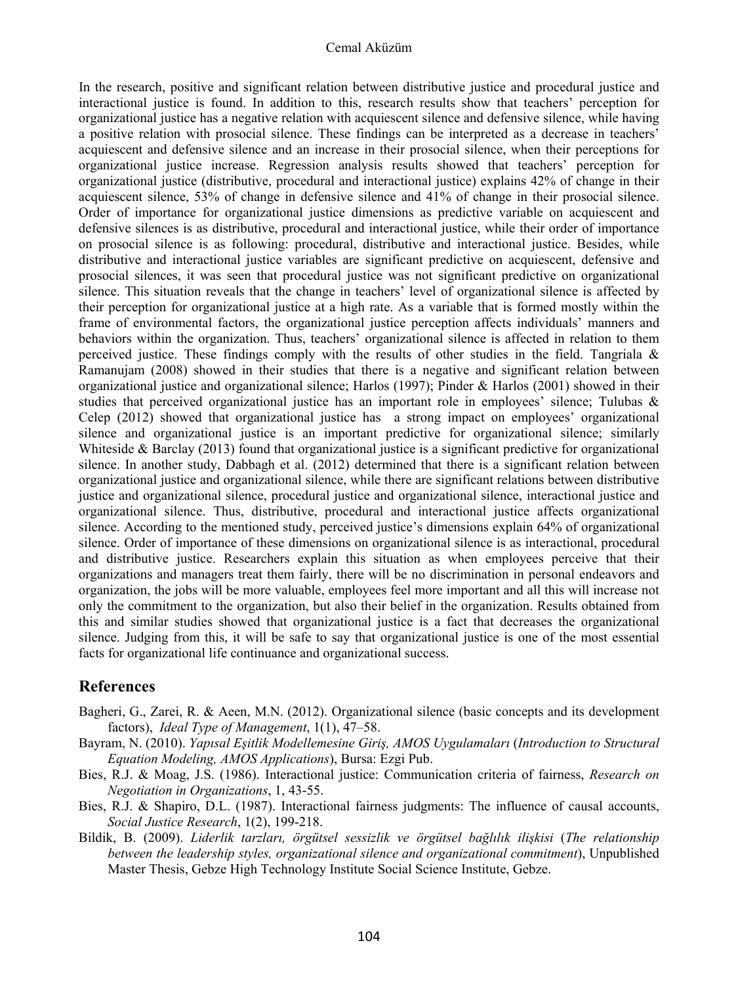#### Cemal Aküzüm

In the research, positive and significant relation between distributive justice and procedural justice and interactional justice is found. In addition to this, research results show that teachers' perception for organizational justice has a negative relation with acquiescent silence and defensive silence, while having a positive relation with prosocial silence. These findings can be interpreted as a decrease in teachers' acquiescent and defensive silence and an increase in their prosocial silence, when their perceptions for organizational justice increase. Regression analysis results showed that teachers' perception for organizational justice (distributive, procedural and interactional justice) explains 42% of change in their acquiescent silence, 53% of change in defensive silence and 41% of change in their prosocial silence. Order of importance for organizational justice dimensions as predictive variable on acquiescent and defensive silences is as distributive, procedural and interactional justice, while their order of importance on prosocial silence is as following: procedural, distributive and interactional justice. Besides, while distributive and interactional justice variables are significant predictive on acquiescent, defensive and prosocial silences, it was seen that procedural justice was not significant predictive on organizational silence. This situation reveals that the change in teachers' level of organizational silence is affected by their perception for organizational justice at a high rate. As a variable that is formed mostly within the frame of environmental factors, the organizational justice perception affects individuals' manners and behaviors within the organization. Thus, teachers' organizational silence is affected in relation to them perceived justice. These findings comply with the results of other studies in the field. Tangriala  $\&$ Ramanujam (2008) showed in their studies that there is a negative and significant relation between organizational justice and organizational silence; Harlos (1997); Pinder & Harlos (2001) showed in their studies that perceived organizational justice has an important role in employees' silence; Tulubas  $\&$ Celep (2012) showed that organizational justice has a strong impact on employees' organizational silence and organizational justice is an important predictive for organizational silence; similarly Whiteside  $\&$  Barclay (2013) found that organizational justice is a significant predictive for organizational silence. In another study, Dabbagh et al. (2012) determined that there is a significant relation between organizational justice and organizational silence, while there are significant relations between distributive justice and organizational silence, procedural justice and organizational silence, interactional justice and organizational silence. Thus, distributive, procedural and interactional justice affects organizational silence. According to the mentioned study, perceived justice's dimensions explain 64% of organizational silence. Order of importance of these dimensions on organizational silence is as interactional, procedural and distributive justice. Researchers explain this situation as when employees perceive that their organizations and managers treat them fairly, there will be no discrimination in personal endeavors and organization, the jobs will be more valuable, employees feel more important and all this will increase not only the commitment to the organization, but also their belief in the organization. Results obtained from this and similar studies showed that organizational justice is a fact that decreases the organizational silence. Judging from this, it will be safe to say that organizational justice is one of the most essential facts for organizational life continuance and organizational success.

## **References**

- Bagheri, G., Zarei, R. & Aeen, M.N. (2012). Organizational silence (basic concepts and its development factors), *Ideal Type of Management*, 1(1), 47–58.
- Bayram, N. (2010). *Yapısal Eşitlik Modellemesine Giriş, AMOS Uygulamaları* (*Introduction to Structural Equation Modeling, AMOS Applications*), Bursa: Ezgi Pub.
- Bies, R.J. & Moag, J.S. (1986). Interactional justice: Communication criteria of fairness, *Research on Negotiation in Organizations*, 1, 43-55.
- Bies, R.J. & Shapiro, D.L. (1987). Interactional fairness judgments: The influence of causal accounts, *Social Justice Research*, 1(2), 199-218.
- Bildik, B. (2009). *Liderlik tarzları, örgütsel sessizlik ve örgütsel bağlılık ilişkisi* (*The relationship between the leadership styles, organizational silence and organizational commitment*), Unpublished Master Thesis, Gebze High Technology Institute Social Science Institute, Gebze.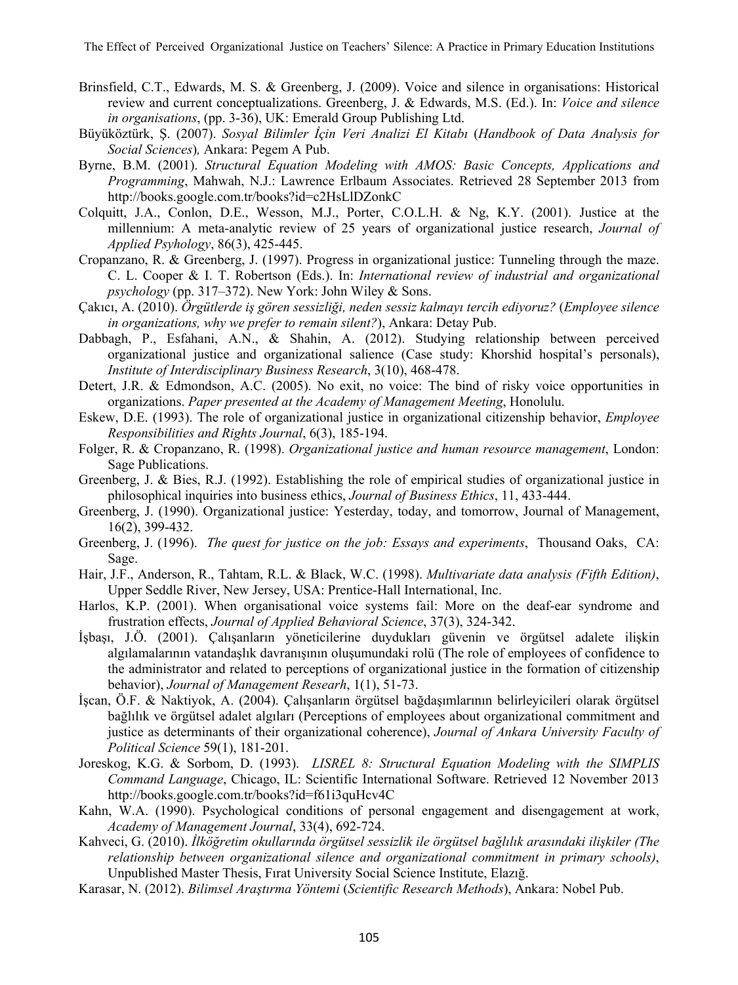- Brinsfield, C.T., Edwards, M. S. & Greenberg, J. (2009). Voice and silence in organisations: Historical review and current conceptualizations. Greenberg, J. & Edwards, M.S. (Ed.). In: *Voice and silence in organisations*, (pp. 3-36), UK: Emerald Group Publishing Ltd.
- Büyüköztürk, Ş. (2007). *Sosyal Bilimler İçin Veri Analizi El Kitabı* (*Handbook of Data Analysis for Social Sciences*)*,* Ankara: Pegem A Pub.
- Byrne, B.M. (2001). *Structural Equation Modeling with AMOS: Basic Concepts, Applications and Programming*, Mahwah, N.J.: Lawrence Erlbaum Associates. Retrieved 28 September 2013 from http://books.google.com.tr/books?id=c2HsLlDZonkC
- Colquitt, J.A., Conlon, D.E., Wesson, M.J., Porter, C.O.L.H. & Ng, K.Y. (2001). Justice at the millennium: A meta-analytic review of 25 years of organizational justice research, *Journal of Applied Psyhology*, 86(3), 425-445.
- Cropanzano, R. & Greenberg, J. (1997). Progress in organizational justice: Tunneling through the maze. C. L. Cooper & I. T. Robertson (Eds.). In: *International review of industrial and organizational psychology* (pp. 317–372). New York: John Wiley & Sons.
- Çakıcı, A. (2010). *Örgütlerde iş gören sessizliği, neden sessiz kalmayı tercih ediyoruz?* (*Employee silence in organizations, why we prefer to remain silent?*), Ankara: Detay Pub.
- Dabbagh, P., Esfahani, A.N., & Shahin, A. (2012). Studying relationship between perceived organizational justice and organizational salience (Case study: Khorshid hospital's personals), *Institute of Interdisciplinary Business Research*, 3(10), 468-478.
- Detert, J.R. & Edmondson, A.C. (2005). No exit, no voice: The bind of risky voice opportunities in organizations. *Paper presented at the Academy of Management Meeting*, Honolulu.
- Eskew, D.E. (1993). The role of organizational justice in organizational citizenship behavior, *Employee Responsibilities and Rights Journal*, 6(3), 185-194.
- Folger, R. & Cropanzano, R. (1998). *Organizational justice and human resource management*, London: Sage Publications.
- Greenberg, J. & Bies, R.J. (1992). Establishing the role of empirical studies of organizational justice in philosophical inquiries into business ethics, *Journal of Business Ethics*, 11, 433-444.
- Greenberg, J. (1990). Organizational justice: Yesterday, today, and tomorrow, Journal of Management, 16(2), 399-432.
- Greenberg, J. (1996). *The quest for justice on the job: Essays and experiments*, Thousand Oaks, CA: Sage.
- Hair, J.F., Anderson, R., Tahtam, R.L. & Black, W.C. (1998). *Multivariate data analysis (Fifth Edition)*, Upper Seddle River, New Jersey, USA: Prentice-Hall International, Inc.
- Harlos, K.P. (2001). When organisational voice systems fail: More on the deaf-ear syndrome and frustration effects, *Journal of Applied Behavioral Science*, 37(3), 324-342.
- İşbaşı, J.Ö. (2001). Çalışanların yöneticilerine duydukları güvenin ve örgütsel adalete ilişkin algılamalarının vatandaşlık davranışının oluşumundaki rolü (The role of employees of confidence to the administrator and related to perceptions of organizational justice in the formation of citizenship behavior), *Journal of Management Researh*, 1(1), 51-73.
- İşcan, Ö.F. & Naktiyok, A. (2004). Çalışanların örgütsel bağdaşımlarının belirleyicileri olarak örgütsel bağlılık ve örgütsel adalet algıları (Perceptions of employees about organizational commitment and justice as determinants of their organizational coherence), *Journal of Ankara University Faculty of Political Science* 59(1), 181-201.
- Joreskog, K.G. & Sorbom, D. (1993). *LISREL 8: Structural Equation Modeling with the SIMPLIS Command Language*, Chicago, IL: Scientific International Software. Retrieved 12 November 2013 http://books.google.com.tr/books?id=f61i3quHcv4C
- Kahn, W.A. (1990). Psychological conditions of personal engagement and disengagement at work, *Academy of Management Journal*, 33(4), 692-724.
- Kahveci, G. (2010). *İlköğretim okullarında örgütsel sessizlik ile örgütsel bağlılık arasındaki ilişkiler (The relationship between organizational silence and organizational commitment in primary schools)*, Unpublished Master Thesis, Fırat University Social Science Institute, Elazığ.
- Karasar, N. (2012). *Bilimsel Araştırma Yöntemi* (*Scientific Research Methods*), Ankara: Nobel Pub.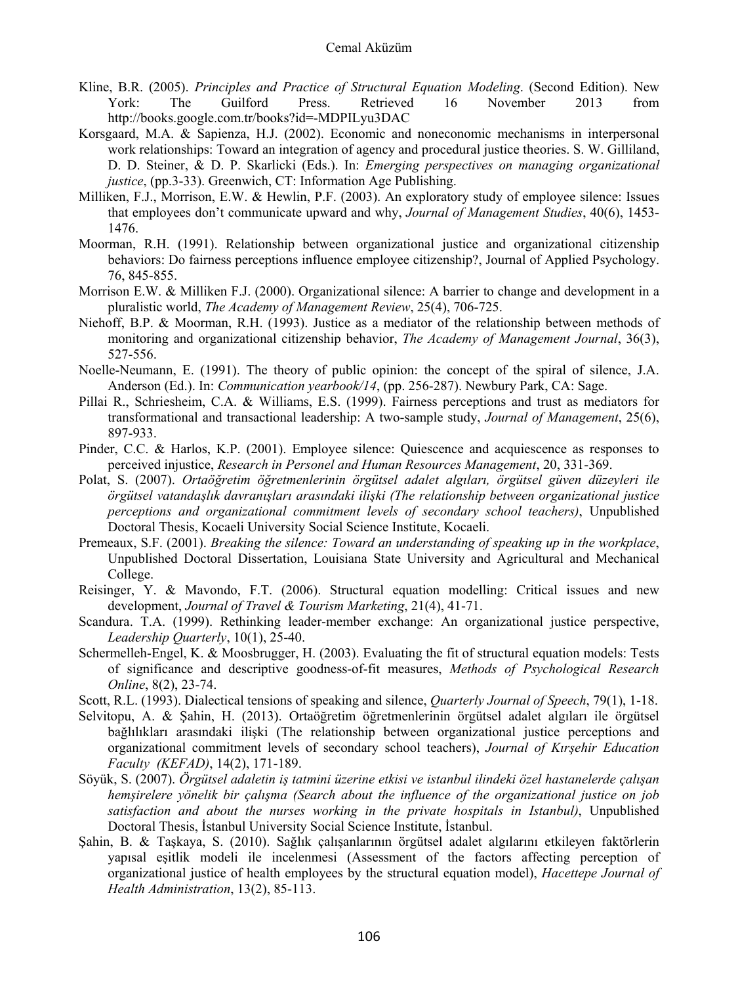- Kline, B.R. (2005). *Principles and Practice of Structural Equation Modeling*. (Second Edition). New York: The Guilford Press. Retrieved 16 November 2013 from http://books.google.com.tr/books?id=-MDPILyu3DAC
- Korsgaard, M.A. & Sapienza, H.J. (2002). Economic and noneconomic mechanisms in interpersonal work relationships: Toward an integration of agency and procedural justice theories. S. W. Gilliland, D. D. Steiner, & D. P. Skarlicki (Eds.). In: *Emerging perspectives on managing organizational justice*, (pp.3-33). Greenwich, CT: Information Age Publishing.
- Milliken, F.J., Morrison, E.W. & Hewlin, P.F. (2003). An exploratory study of employee silence: Issues that employees don't communicate upward and why, *Journal of Management Studies*, 40(6), 1453- 1476.
- Moorman, R.H. (1991). Relationship between organizational justice and organizational citizenship behaviors: Do fairness perceptions influence employee citizenship?, Journal of Applied Psychology. 76, 845-855.
- Morrison E.W. & Milliken F.J. (2000). Organizational silence: A barrier to change and development in a pluralistic world, *The Academy of Management Review*, 25(4), 706-725.
- Niehoff, B.P. & Moorman, R.H. (1993). Justice as a mediator of the relationship between methods of monitoring and organizational citizenship behavior, *The Academy of Management Journal*, 36(3), 527-556.
- Noelle-Neumann, E. (1991). The theory of public opinion: the concept of the spiral of silence, J.A. Anderson (Ed.). In: *Communication yearbook/14*, (pp. 256-287). Newbury Park, CA: Sage.
- Pillai R., Schriesheim, C.A. & Williams, E.S. (1999). Fairness perceptions and trust as mediators for transformational and transactional leadership: A two-sample study, *Journal of Management*, 25(6), 897-933.
- Pinder, C.C. & Harlos, K.P. (2001). Employee silence: Quiescence and acquiescence as responses to perceived injustice, *Research in Personel and Human Resources Management*, 20, 331-369.
- Polat, S. (2007). *Ortaöğretim öğretmenlerinin örgütsel adalet algıları, örgütsel güven düzeyleri ile örgütsel vatandaşlık davranışları arasındaki ilişki (The relationship between organizational justice perceptions and organizational commitment levels of secondary school teachers)*, Unpublished Doctoral Thesis, Kocaeli University Social Science Institute, Kocaeli.
- Premeaux, S.F. (2001). *Breaking the silence: Toward an understanding of speaking up in the workplace*, Unpublished Doctoral Dissertation, Louisiana State University and Agricultural and Mechanical College.
- Reisinger, Y. & Mavondo, F.T. (2006). Structural equation modelling: Critical issues and new development, *Journal of Travel & Tourism Marketing*, 21(4), 41-71.
- Scandura. T.A. (1999). Rethinking leader-member exchange: An organizational justice perspective, *Leadership Quarterly*, 10(1), 25-40.
- Schermelleh-Engel, K. & Moosbrugger, H. (2003). Evaluating the fit of structural equation models: Tests of significance and descriptive goodness-of-fit measures, *Methods of Psychological Research Online*, 8(2), 23-74.
- Scott, R.L. (1993). Dialectical tensions of speaking and silence, *Quarterly Journal of Speech*, 79(1), 1-18.
- Selvitopu, A. & Şahin, H. (2013). Ortaöğretim öğretmenlerinin örgütsel adalet algıları ile örgütsel bağlılıkları arasındaki ilişki (The relationship between organizational justice perceptions and organizational commitment levels of secondary school teachers), *Journal of Kırşehir Education Faculty (KEFAD)*, 14(2), 171-189.
- Söyük, S. (2007). *Örgütsel adaletin iş tatmini üzerine etkisi ve istanbul ilindeki özel hastanelerde çalışan hemşirelere yönelik bir çalışma (Search about the influence of the organizational justice on job satisfaction and about the nurses working in the private hospitals in Istanbul)*, Unpublished Doctoral Thesis, İstanbul University Social Science Institute, İstanbul.
- Şahin, B. & Taşkaya, S. (2010). Sağlık çalışanlarının örgütsel adalet algılarını etkileyen faktörlerin yapısal eşitlik modeli ile incelenmesi (Assessment of the factors affecting perception of organizational justice of health employees by the structural equation model), *Hacettepe Journal of Health Administration*, 13(2), 85-113.